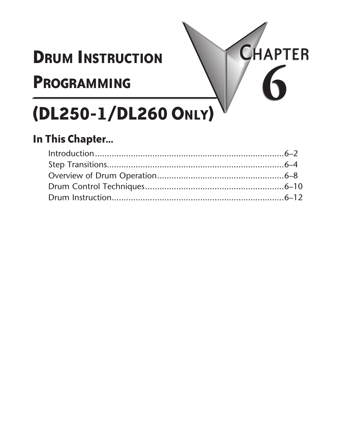# **Drum Instruction**

# **Programming**



# **(DL250-1/DL260 Only)**

## **In This Chapter...**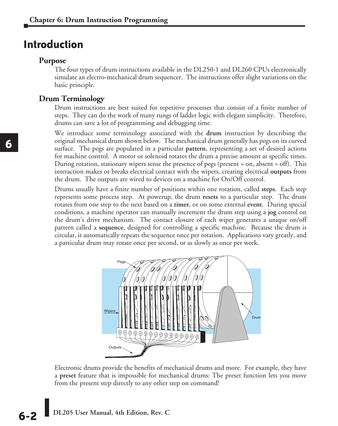## **Introduction**

#### **Purpose**

The four types of drum instructions available in the DL250-1 and DL260 CPUs electronically simulate an electro-mechanical drum sequencer. The instructions offer slight variations on the basic principle.

### **Drum Terminology**

Drum instructions are best suited for repetitive processes that consist of a finite number of steps. They can do the work of many rungs of ladder logic with elegant simplicity. Therefore, drums can save a lot of programming and debugging time.

We introduce some terminology associated with the **drum** instruction by describing the original mechanical drum shown below. The mechanical drum generally has pegs on its curved surface. The pegs are populated in a particular **pattern**, representing a set of desired actions for machine control. A motor or solenoid rotates the drum a precise amount at specific times. During rotation, stationary wipers sense the presence of pegs (present = on, absent = off). This interaction makes or breaks electrical contact with the wipers, creating electrical **outputs** from the drum. The outputs are wired to devices on a machine for On/Off control.

Drums usually have a finite number of positions within one rotation, called **steps**. Each step represents some process step. At powerup, the drum **resets** to a particular step. The drum rotates from one step to the next based on a **timer**, or on some external **event**. During special conditions, a machine operator can manually increment the drum step using a **jog** control on the drum's drive mechanism. The contact closure of each wiper generates a unique on/off pattern called a **sequence**, designed for controlling a specific machine. Because the drum is circular, it automatically repeats the sequence once per rotation. Applications vary greatly, and a particular drum may rotate once per second, or as slowly as once per week.



Electronic drums provide the benefits of mechanical drums and more. For example, they have a **preset** feature that is impossible for mechanical drums: The preset function lets you move from the present step directly to any other step on command!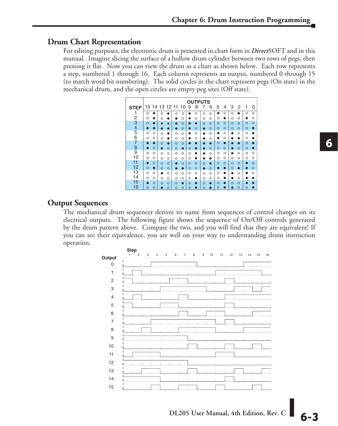## **Drum Chart Representation**

For editing purposes, the electronic drum is presented in chart form in *Direct*SOFT and in this manual. Imagine slicing the surface of a hollow drum cylinder between two rows of pegs, then pressing it flat. Now you can view the drum as a chart as shown below. Each row represents a step, numbered 1 through 16. Each column represents an output, numbered 0 through 15 (to match word bit numbering). The solid circles in the chart represent pegs (On state) in the mechanical drum, and the open circles are empty peg sites (Off state).

|                |          |   |                |         |          |          |         | <b>OUTPUTS</b> |          |         |         |         |         |           |         |         |
|----------------|----------|---|----------------|---------|----------|----------|---------|----------------|----------|---------|---------|---------|---------|-----------|---------|---------|
| <b>STEP</b>    |          |   | 15 14 13 12 11 |         |          | 10       | 9       | 8              | 7        | 6       | 5       | 4       | 3       | 2         | 1       | O       |
| 1              | O        |   | റ              |         | $\Omega$ | $\circ$  |         | Ó              | $\Omega$ | O       |         | $\circ$ | Ō       |           | $\circ$ | $\circ$ |
| 2              | O        |   | Ω              |         |          | O        |         | Ó              | $\circ$  | O       | $\circ$ |         | Ó       | Ō         |         | $\circ$ |
| 3              | O        |   |                |         |          | Ω        |         |                | $\circ$  | O       | $\circ$ | $\circ$ | $\circ$ | $\circ$   | $\circ$ | $\circ$ |
| $\overline{4}$ |          |   |                |         |          | O        |         | $\circ$        |          | $\circ$ | $\circ$ | $\circ$ | $\circ$ | $\circ$   | $\circ$ |         |
| 5              | $\Omega$ | Ω | Ö              |         | $\Omega$ | O        |         | $\circ$        |          | $\circ$ |         | O       | a       | $\circ$   | $\circ$ |         |
| 6              | Ω        | O | O              |         | $\circ$  | O        |         | O              |          | O       |         | O       |         |           | O       |         |
| 7              |          |   | Ō              |         | $\circ$  | $\circ$  |         |                |          |         | $\circ$ | О       |         |           | $\circ$ |         |
| 8              |          | O |                | $\circ$ | $\circ$  | ο        | O       |                |          | $\circ$ | $\circ$ | $\circ$ | n       | $\circ$   | $\circ$ |         |
| 9              | $\circ$  | O | Ó              | O       | $\circ$  | O        | O       |                |          | $\circ$ | $\circ$ | O       |         | $\Omega$  | $\circ$ | $\circ$ |
| 10             | O        | O | O              | Ο       | $\circ$  | $\circ$  | O       |                |          |         | $\circ$ | $\circ$ | O       | $\circ$   | O       | $\circ$ |
| 11             |          | O | $\circ$        | $\circ$ |          | $\circ$  | $\circ$ | $\circ$        | $\Omega$ |         | $\circ$ | $\circ$ | $\circ$ | $\circ$   |         | $\circ$ |
| 12             | O        | ο | $\Omega$       | $\circ$ |          |          | O       | $\circ$        |          | $\circ$ |         | n       | O       | $\bullet$ |         | $\circ$ |
| 13             | Ó        | O |                | Ω       | $\Omega$ | $\Omega$ | O       | O              | $\Omega$ | $\circ$ | $\circ$ |         |         | Ó         |         | $\circ$ |
| 14             | O        | Ο | O              | O       | $\Omega$ | O        | O       |                | O        | O       | Ω       |         |         | O         |         |         |
| 15             |          | Ō | $\circ$        | O       | $\Omega$ |          | Ö       |                | $\circ$  |         | $\circ$ |         | $\circ$ | $\circ$   |         |         |
| 16             | Ω        | O |                | $\circ$ | $\circ$  | $\circ$  | O       |                | $\circ$  |         | O       |         |         | $\circ$   | O       |         |

#### **Output Sequences**

The mechanical drum sequencer derives its name from sequences of control changes on its electrical outputs. The following figure shows the sequence of On/Off controls generated by the drum pattern above. Compare the two, and you will find that they are equivalent! If you can see their equivalence, you are well on your way to understanding drum instruction operation.

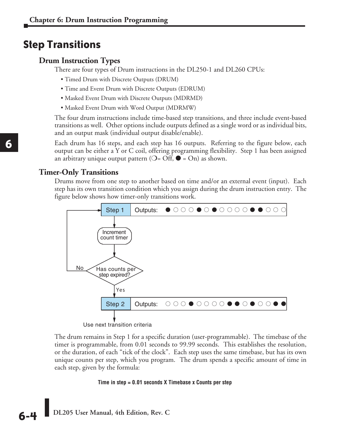## **Step Transitions**

## **Drum Instruction Types**

There are four types of Drum instructions in the DL250-1 and DL260 CPUs:

- Timed Drum with Discrete Outputs (DRUM)
- Time and Event Drum with Discrete Outputs (EDRUM)
- Masked Event Drum with Discrete Outputs (MDRMD)
- Masked Event Drum with Word Output (MDRMW)

The four drum instructions include time-based step transitions, and three include event-based transitions as well. Other options include outputs defined as a single word or as individual bits, and an output mask (individual output disable/enable).

Each drum has 16 steps, and each step has 16 outputs. Referring to the figure below, each output can be either a Y or C coil, offering programming flexibility. Step 1 has been assigned an arbitrary unique output pattern ( $O=$  Off,  $\bullet$  = On) as shown.

#### **Timer-Only Transitions**

Drums move from one step to another based on time and/or an external event (input). Each step has its own transition condition which you assign during the drum instruction entry. The figure below shows how timer-only transitions work.



Use next transition criteria

The drum remains in Step 1 for a specific duration (user-programmable). The timebase of the timer is programmable, from 0.01 seconds to 99.99 seconds. This establishes the resolution, or the duration, of each "tick of the clock". Each step uses the same timebase, but has its own unique counts per step, which you program. The drum spends a specific amount of time in each step, given by the formula:

#### **Time in step = 0.01 seconds X Timebase x Counts per step**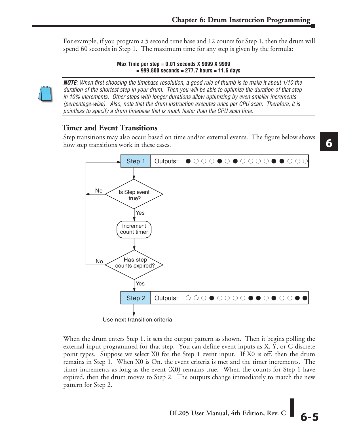For example, if you program a 5 second time base and 12 counts for Step 1, then the drum will spend 60 seconds in Step 1. The maximum time for any step is given by the formula:

> **Max Time per step = 0.01 seconds X 9999 X 9999 = 999,800 seconds = 277.7 hours = 11.6 days**



*NOTE: When first choosing the timebase resolution, a good rule of thumb is to make it about 1/10 the duration of the shortest step in your drum. Then you will be able to optimize the duration of that step in 10% increments. Other steps with longer durations allow optimizing by even smaller increments (percentage-wise). Also, note that the drum instruction executes once per CPU scan. Therefore, it is pointless to specify a drum timebase that is much faster than the CPU scan time.*

## **Timer and Event Transitions**

Step transitions may also occur based on time and/or external events. The figure below shows how step transitions work in these cases.



When the drum enters Step 1, it sets the output pattern as shown. Then it begins polling the external input programmed for that step. You can define event inputs as X, Y, or C discrete point types. Suppose we select X0 for the Step 1 event input. If X0 is off, then the drum remains in Step 1. When X0 is On, the event criteria is met and the timer increments. The timer increments as long as the event (X0) remains true. When the counts for Step 1 have expired, then the drum moves to Step 2. The outputs change immediately to match the new pattern for Step 2.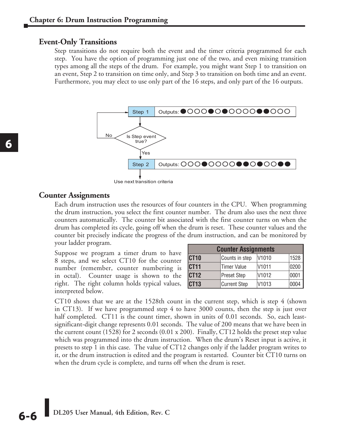#### **Event-Only Transitions**

Step transitions do not require both the event and the timer criteria programmed for each step. You have the option of programming just one of the two, and even mixing transition types among all the steps of the drum. For example, you might want Step 1 to transition on an event, Step 2 to transition on time only, and Step 3 to transition on both time and an event. Furthermore, you may elect to use only part of the 16 steps, and only part of the 16 outputs.



Use next transition criteria

#### **Counter Assignments**

Each drum instruction uses the resources of four counters in the CPU. When programming the drum instruction, you select the first counter number. The drum also uses the next three counters automatically. The counter bit associated with the first counter turns on when the drum has completed its cycle, going off when the drum is reset. These counter values and the counter bit precisely indicate the progress of the drum instruction, and can be monitored by your ladder program.

Suppose we program a timer drum to have 8 steps, and we select CT10 for the counter number (remember, counter numbering is in octal). Counter usage is shown to the right. The right column holds typical values, interpreted below.

| <b>Counter Assignments</b>                          |                     |                   |      |  |  |  |  |  |
|-----------------------------------------------------|---------------------|-------------------|------|--|--|--|--|--|
| 1528<br>CT <sub>10</sub><br>V1010<br>Counts in step |                     |                   |      |  |  |  |  |  |
| CT <sub>11</sub>                                    | <b>Timer Value</b>  | V1011             | 0200 |  |  |  |  |  |
| CT <sub>12</sub>                                    | <b>Preset Step</b>  | V1012             | 0001 |  |  |  |  |  |
| CT <sub>13</sub>                                    | <b>Current Step</b> | V <sub>1013</sub> | 0004 |  |  |  |  |  |

CT10 shows that we are at the 1528th count in the current step, which is step 4 (shown in CT13). If we have programmed step 4 to have 3000 counts, then the step is just over half completed. CT11 is the count timer, shown in units of 0.01 seconds. So, each leastsignificant-digit change represents 0.01 seconds. The value of 200 means that we have been in the current count (1528) for 2 seconds (0.01 x 200). Finally, CT12 holds the preset step value which was programmed into the drum instruction. When the drum's Reset input is active, it presets to step 1 in this case. The value of CT12 changes only if the ladder program writes to it, or the drum instruction is edited and the program is restarted. Counter bit CT10 turns on when the drum cycle is complete, and turns off when the drum is reset.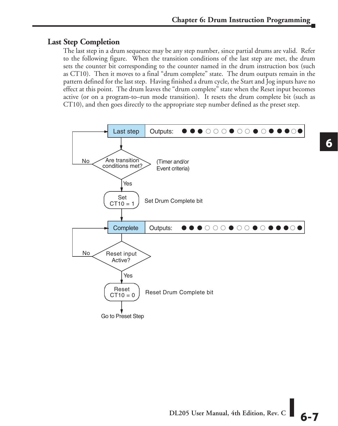## **Last Step Completion**

The last step in a drum sequence may be any step number, since partial drums are valid. Refer to the following figure. When the transition conditions of the last step are met, the drum sets the counter bit corresponding to the counter named in the drum instruction box (such as CT10). Then it moves to a final "drum complete" state. The drum outputs remain in the pattern defined for the last step. Having finished a drum cycle, the Start and Jog inputs have no effect at this point. The drum leaves the "drum complete" state when the Reset input becomes active (or on a program-to–run mode transition). It resets the drum complete bit (such as CT10), and then goes directly to the appropriate step number defined as the preset step.

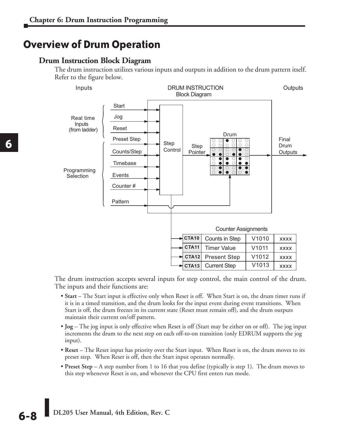## **Overview of Drum Operation**

### **Drum Instruction Block Diagram**

The drum instruction utilizes various inputs and outputs in addition to the drum pattern itself. Refer to the figure below.



The drum instruction accepts several inputs for step control, the main control of the drum. The inputs and their functions are:

- **Start** The Start input is effective only when Reset is off. When Start is on, the drum timer runs if it is in a timed transition, and the drum looks for the input event during event transitions. When Start is off, the drum freezes in its current state (Reset must remain off), and the drum outputs maintain their current on/off pattern.
- **Jog** The jog input is only effective when Reset is off (Start may be either on or off). The jog input increments the drum to the next step on each off-to-on transition (only EDRUM supports the jog input).
- **Reset** The Reset input has priority over the Start input. When Reset is on, the drum moves to its preset step. When Reset is off, then the Start input operates normally.
- **Preset Step**  A step number from 1 to 16 that you define (typically is step 1). The drum moves to this step whenever Reset is on, and whenever the CPU first enters run mode.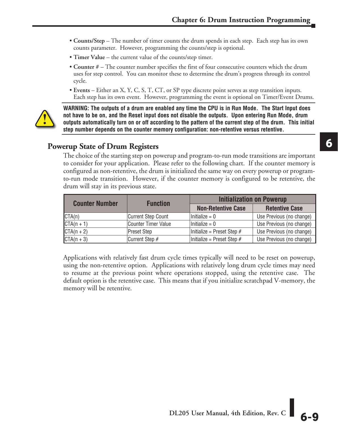- **Counts/Step** The number of timer counts the drum spends in each step. Each step has its own counts parameter. However, programming the counts/step is optional.
- • **Timer Value** the current value of the counts/step timer.
- **Counter #** The counter number specifies the first of four consecutive counters which the drum uses for step control. You can monitor these to determine the drum's progress through its control cycle.
- **Events** Either an X, Y, C, S, T, CT, or SP type discrete point serves as step transition inputs. Each step has its own event. However, programming the event is optional on Timer/Event Drums.



**WARNING: The outputs of a drum are enabled any time the CPU is in Run Mode. The Start Input does not have to be on, and the Reset input does not disable the outputs. Upon entering Run Mode, drum outputs automatically turn on or off according to the pattern of the current step of the drum. This initial step number depends on the counter memory configuration: non-retentive versus retentive.**

## **Powerup State of Drum Registers**

The choice of the starting step on powerup and program-to-run mode transitions are important to consider for your application. Please refer to the following chart. If the counter memory is configured as non-retentive, the drum is initialized the same way on every powerup or programto-run mode transition. However, if the counter memory is configured to be retentive, the drum will stay in its previous state.

| <b>Counter Number</b> | <b>Function</b>           | <b>Initialization on Powerup</b> |                          |  |  |
|-----------------------|---------------------------|----------------------------------|--------------------------|--|--|
|                       |                           | <b>Non-Retentive Case</b>        | <b>Retentive Case</b>    |  |  |
| CTA(n)                | <b>Current Step Count</b> | $\text{Initialize} = 0$          | Use Previous (no change) |  |  |
| $CTA(n + 1)$          | Counter Timer Value       | Initialize $= 0$                 | Use Previous (no change) |  |  |
| $CTA(n + 2)$          | <b>Preset Step</b>        | Initialize = Preset Step $#$     | Use Previous (no change) |  |  |
| $CTA(n + 3)$          | Current Step #            | Initialize = Preset Step $#$     | Use Previous (no change) |  |  |

Applications with relatively fast drum cycle times typically will need to be reset on powerup, using the non-retentive option. Applications with relatively long drum cycle times may need to resume at the previous point where operations stopped, using the retentive case. The default option is the retentive case. This means that if you initialize scratchpad V-memory, the memory will be retentive.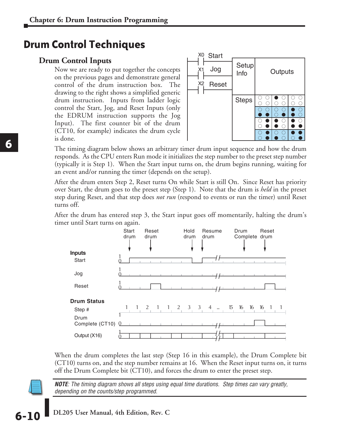## **Drum Control Techniques**

## **Drum Control Inputs**

Now we are ready to put together the concepts on the previous pages and demonstrate general control of the drum instruction box. The drawing to the right shows a simplified generic drum instruction. Inputs from ladder logic control the Start, Jog, and Reset Inputs (only the EDRUM instruction supports the Jog Input). The first counter bit of the drum (CT10, for example) indicates the drum cycle is done.



The timing diagram below shows an arbitrary timer drum input sequence and how the drum responds. As the CPU enters Run mode it initializes the step number to the preset step number (typically it is Step 1). When the Start input turns on, the drum begins running, waiting for an event and/or running the timer (depends on the setup).

After the drum enters Step 2, Reset turns On while Start is still On. Since Reset has priority over Start, the drum goes to the preset step (Step 1). Note that the drum is *held* in the preset step during Reset, and that step does *not run* (respond to events or run the timer) until Reset turns off.

After the drum has entered step 3, the Start input goes off momentarily, halting the drum's timer until Start turns on again.



When the drum completes the last step (Step 16 in this example), the Drum Complete bit (CT10) turns on, and the step number remains at 16. When the Reset input turns on, it turns off the Drum Complete bit (CT10), and forces the drum to enter the preset step.

*NOTE: The timing diagram shows all steps using equal time durations. Step times can vary greatly, depending on the counts/step programmed.*

**DL205 User Manual, 4th Edition, Rev. C 6-10**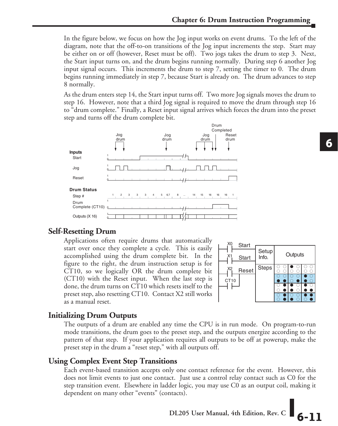In the figure below, we focus on how the Jog input works on event drums. To the left of the diagram, note that the off-to-on transitions of the Jog input increments the step. Start may be either on or off (however, Reset must be off). Two jogs takes the drum to step 3. Next, the Start input turns on, and the drum begins running normally. During step 6 another Jog input signal occurs. This increments the drum to step 7, setting the timer to 0. The drum begins running immediately in step 7, because Start is already on. The drum advances to step 8 normally.

As the drum enters step 14, the Start input turns off. Two more Jog signals moves the drum to step 16. However, note that a third Jog signal is required to move the drum through step 16 to "drum complete." Finally, a Reset input signal arrives which forces the drum into the preset step and turns off the drum complete bit.



## **Self-Resetting Drum**

Applications often require drums that automatically start over once they complete a cycle. This is easily accomplished using the drum complete bit. In the figure to the right, the drum instruction setup is for CT10, so we logically OR the drum complete bit (CT10) with the Reset input. When the last step is done, the drum turns on CT10 which resets itself to the preset step, also resetting CT10. Contact X2 still works as a manual reset.



## **Initializing Drum Outputs**

The outputs of a drum are enabled any time the CPU is in run mode. On program-to-run mode transitions, the drum goes to the preset step, and the outputs energize according to the pattern of that step. If your application requires all outputs to be off at powerup, make the preset step in the drum a "reset step," with all outputs off.

## **Using Complex Event Step Transitions**

Each event-based transition accepts only one contact reference for the event. However, this does not limit events to just one contact. Just use a control relay contact such as C0 for the step transition event. Elsewhere in ladder logic, you may use C0 as an output coil, making it dependent on many other "events" (contacts).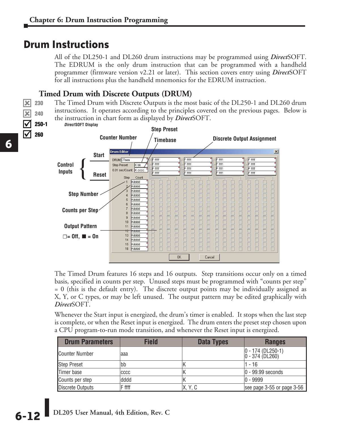## **Drum Instructions**

All of the DL250-1 and DL260 drum instructions may be programmed using *Direct*SOFT. The EDRUM is the only drum instruction that can be programmed with a handheld programmer (firmware version v2.21 or later). This section covers entry using *Direct*SOFT for all instructions plus the handheld mnemonics for the EDRUM instruction.

## **Timed Drum with Discrete Outputs (DRUM)**

The Timed Drum with Discrete Outputs is the most basic of the DL250-1 and DL260 drum instructions. It operates according to the principles covered on the previous pages. Below is the instruction in chart form as displayed by *Direct*SOFT. 250-1



The Timed Drum features 16 steps and 16 outputs. Step transitions occur only on a timed basis, specified in counts per step. Unused steps must be programmed with "counts per step" = 0 (this is the default entry). The discrete output points may be individually assigned as X, Y, or C types, or may be left unused. The output pattern may be edited graphically with *Direct*SOFT.

Whenever the Start input is energized, the drum's timer is enabled. It stops when the last step is complete, or when the Reset input is energized. The drum enters the preset step chosen upon a CPU program-to-run mode transition, and whenever the Reset input is energized.

| <b>Drum Parameters</b> | <b>Field</b> | Data Types | <b>Ranges</b>                             |
|------------------------|--------------|------------|-------------------------------------------|
| Counter Number         | laaa         |            | $ 0 - 174$ (DL250-1)<br>$0 - 374$ (DL260) |
| <b>Step Preset</b>     | bb           |            | - 16                                      |
| Timer base             | CCCC         |            | $ 0 - 99.99$ seconds                      |
| Counts per step        | dddd         |            | $ 0 - 9999$                               |
| Discrete Outputs       | F ffff       | X, Y, C    | see page 3-55 or page 3-56                |

xl  $\overline{\mathbf{x}}$  $\Delta$  $\Delta$  230 240

260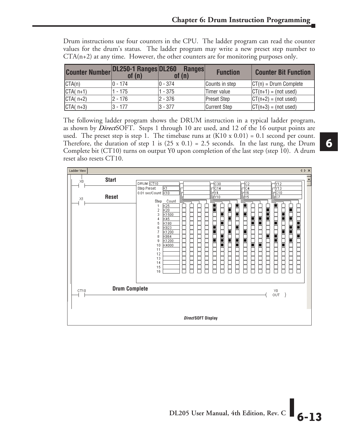|  |  |  | Drum instructions use four counters in the CPU. The ladder program can read the counter |  |  |  |  |
|--|--|--|-----------------------------------------------------------------------------------------|--|--|--|--|
|  |  |  | values for the drum's status. The ladder program may write a new preset step number to  |  |  |  |  |
|  |  |  | $CTA(n+2)$ at any time. However, the other counters are for monitoring purposes only.   |  |  |  |  |

| <b>Counter Number DL250-1 Ranges DL260</b> | of $(n)$  | <b>Ranges</b><br>of $(n)$ | <b>Function</b>     | <b>Counter Bit Function</b> |
|--------------------------------------------|-----------|---------------------------|---------------------|-----------------------------|
| CTA(n)                                     | $0 - 174$ | $ 0 - 374$                | Counts in step      | $ CT(n)  = Drum Compute$    |
| $CTA(n+1)$                                 | 1 - 175   | $1 - 375$                 | Timer value         | $ CT(n+1)  = (not used)$    |
| $CTA(n+2)$                                 | 2 - 176   | 2 - 376                   | Preset Step         | $ CT(n+2)  = (not used)$    |
| $CTA(n+3)$                                 | $3 - 177$ | $ 3 - 377$                | <b>Current Step</b> | $ CT(n+3)  = (not used)$    |

The following ladder program shows the DRUM instruction in a typical ladder program, as shown by *Direct*SOFT. Steps 1 through 10 are used, and 12 of the 16 output points are used. The preset step is step 1. The timebase runs at  $(K10 \times 0.01) = 0.1$  second per count. Therefore, the duration of step 1 is  $(25 \times 0.1) = 2.5$  seconds. In the last rung, the Drum Complete bit (CT10) turns on output Y0 upon completion of the last step (step 10). A drum reset also resets CT10.

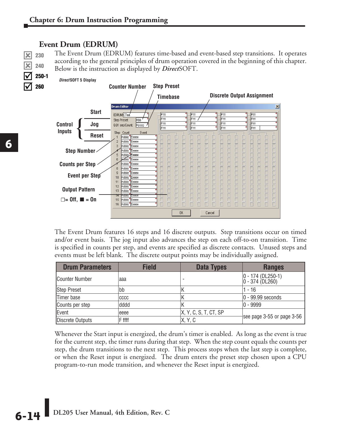## **Event Drum (EDRUM)**

The Event Drum (EDRUM) features time-based and event-based step transitions. It operates according to the general principles of drum operation covered in the beginning of this chapter. Below is the instruction as displayed by *Direct*SOFT.

*Direct* **SOFT 5 Display** 250-1



The Event Drum features 16 steps and 16 discrete outputs. Step transitions occur on timed and/or event basis. The jog input also advances the step on each off-to-on transition. Time is specified in counts per step, and events are specified as discrete contacts. Unused steps and events must be left blank. The discrete output points may be individually assigned.

| <b>Drum Parameters</b> | <b>Field</b> | Data Types            | <b>Ranges</b>                               |  |
|------------------------|--------------|-----------------------|---------------------------------------------|--|
| <b>Counter Number</b>  | aaa          |                       | $ 0 - 174$ (DL250-1)<br>$0 - 374 (D L 260)$ |  |
| <b>Step Preset</b>     | bb           |                       | - 16                                        |  |
| Timer base             | CCCC         |                       | $ 0 - 99.99$ seconds                        |  |
| Counts per step        | dddd         |                       | $ 0 - 9999$                                 |  |
| Event                  | eeee         | X, Y, C, S, T, CT, SP |                                             |  |
| Discrete Outputs       | F ffff       | X, Y, C               | see page 3-55 or page 3-56                  |  |

Whenever the Start input is energized, the drum's timer is enabled. As long as the event is true for the current step, the timer runs during that step. When the step count equals the counts per step, the drum transitions to the next step. This process stops when the last step is complete, or when the Reset input is energized. The drum enters the preset step chosen upon a CPU program-to-run mode transition, and whenever the Reset input is energized.

 $\mathbf{\overline{x}}$  $\mathbf{\overline{x}}$ ☑  $\Delta$ 

230 240

260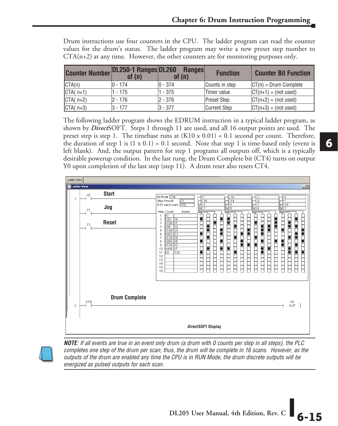|                                                   |             |             |                 | $CTA(n+2)$ at any time. However, the other counters are for monitoring purposes only. |
|---------------------------------------------------|-------------|-------------|-----------------|---------------------------------------------------------------------------------------|
| <b>Counter Number DL250-1 Ranges DL260 Ranges</b> | of (n)      | of $(n)$    | <b>Function</b> | <b>Counter Bit Function</b>                                                           |
| CTA(n)                                            | $ 0 - 174 $ | $ 0 - 374 $ | Counts in step  | $ CT(n) = Drum Complete$                                                              |

CTA( n+1)  $|1 - 175$   $|1 - 375$  Timer value  $|CT(n+1) = (not used)$  $\begin{array}{ccc} \text{CTA} & \text{n+2)} \\ \text{CTB} & \text{2 - 176} \end{array}$  2 - 376 Preset Step  $\begin{array}{ccc} \text{CTB} & \text{CTB} \\ \text{CTB} & \text{CTB} \end{array}$  (not used)  $\begin{array}{ccc} \text{CTA} & \text{n+3} \\ \text{CTA} & \text{n+3} \end{array}$   $\begin{array}{ccc} \text{C1} & \text{C1} \\ \text{S1} & \text{S2} \\ \text{S2} & \text{S3} \end{array}$   $\begin{array}{ccc} \text{C1} & \text{C1} \\ \text{C2} & \text{C2} \\ \text{C3} & \text{C4} \end{array}$   $\begin{array}{ccc} \text{C1} & \text{C1} \\ \text{C2} & \text{C1} \\ \text{C1} & \text{C2} \end{array}$   $\begin{array}{ccc} \text{$ 

Drum instructions use four counters in the CPU. The ladder program can read the counter values for the drum's status. The ladder program may write a new preset step number to

| The following ladder program shows the EDRUM instruction in a typical ladder program, as               |
|--------------------------------------------------------------------------------------------------------|
| shown by <i>DirectSOFT</i> . Steps 1 through 11 are used, and all 16 output points are used. The       |
| preset step is step 1. The timebase runs at $(K10 \times 0.01) = 0.1$ second per count. Therefore,     |
| the duration of step 1 is $(1 \times 0.1) = 0.1$ second. Note that step 1 is time-based only (event is |
| left blank). And, the output pattern for step 1 programs all outputs off, which is a typically         |
| desirable powerup condition. In the last rung, the Drum Complete bit (CT4) turns on output             |
| Y0 upon completion of the last step (step 11). A drum reset also resets CT4.                           |



*NOTE: If all events are true in an event only drum (a drum with 0 counts per step in all steps), the PLC completes one step of the drum per scan; thus, the drum will be complete in 16 scans. However, as the outputs of the drum are enabled any time the CPU is in RUN Mode, the drum discrete outputs will be energized as pulsed outputs for each scan.*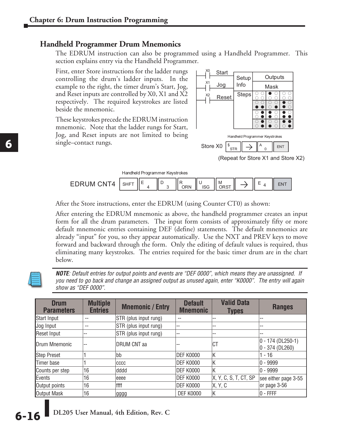#### **Handheld Programmer Drum Mnemonics**

The EDRUM instruction can also be programmed using a Handheld Programmer. This section explains entry via the Handheld Programmer.

First, enter Store instructions for the ladder rungs controlling the drum's ladder inputs. In the example to the right, the timer drum's Start, Jog, and Reset inputs are controlled by X0, X1 and X2 respectively. The required keystrokes are listed beside the mnemonic.

These keystrokes precede the EDRUM instruction mnemonic. Note that the ladder rungs for Start, Jog, and Reset inputs are not limited to being single–contact rungs.



Handheld Programmer Keystrokes

| M<br>$\overline{\phantom{a}}$<br>'N<br>. .<br>--<br>- |  |
|-------------------------------------------------------|--|
|-------------------------------------------------------|--|

After the Store instructions, enter the EDRUM (using Counter CT0) as shown:

After entering the EDRUM mnemonic as above, the handheld programmer creates an input form for all the drum parameters. The input form consists of approximately fifty or more default mnemonic entries containing DEF (define) statements. The default mnemonics are already "input" for you, so they appear automatically. Use the NXT and PREV keys to move forward and backward through the form. Only the editing of default values is required, thus eliminating many keystrokes. The entries required for the basic timer drum are in the chart below.



*NOTE: Default entries for output points and events are "DEF 0000", which means they are unassigned. If you need to go back and change an assigned output as unused again, enter "K0000". The entry will again show as "DEF 0000".*

| <b>Drum</b><br><b>Parameters</b> | <b>Multiple</b><br><b>Entries</b> | <b>Mnemonic / Entry</b> | <b>Default</b><br><b>Mnemonic</b> | <b>Valid Data</b><br><b>Types</b> | <b>Ranges</b>                              |
|----------------------------------|-----------------------------------|-------------------------|-----------------------------------|-----------------------------------|--------------------------------------------|
| Start Input                      | --                                | STR (plus input rung)   |                                   |                                   | --                                         |
| Jog Input                        | --                                | STR (plus input rung)   | --                                | --                                | --                                         |
| Reset Input                      | --                                | STR (plus input rung)   | $- -$                             | --                                | --                                         |
| Drum Mnemonic                    | --                                | <b>DRUM CNT aa</b>      | --                                | <b>CT</b>                         | $ 0 - 174$ (DL250-1)<br>$ 0 - 374$ (DL260) |
| <b>Step Preset</b>               |                                   | bb                      | DEF K0000                         | ΙK                                | $1 - 16$                                   |
| Timer base                       |                                   | CCCC                    | DEF K0000                         | ΙK                                | $ 0 - 9999$                                |
| Counts per step                  | 16                                | dddd                    | DEF K0000                         | ΙK                                | $ 0 - 9999$                                |
| Events                           | 16                                | eeee                    | DEF K0000                         | X, Y, C, S, T, CT, SP             | see either page 3-55                       |
| Output points                    | '16                               | ffff                    | DEF K0000                         | X, Y, C                           | or page 3-56                               |
| <b>Output Mask</b>               | 16                                | lgggg                   | <b>DEF K0000</b>                  | ΙK                                | $ 0$ - FFFF                                |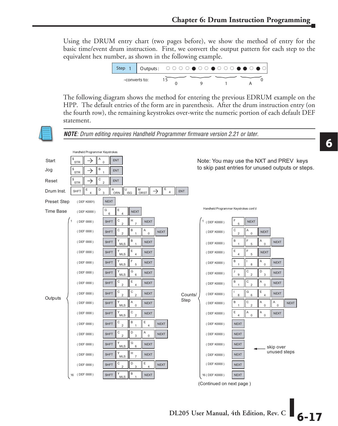Using the DRUM entry chart (two pages before), we show the method of entry for the basic time/event drum instruction. First, we convert the output pattern for each step to the equivalent hex number, as shown in the following example.

1 Outputs : f fff F f f F f f f F F f F f <sup>15</sup> <sup>0</sup> 0 9 1 A --converts to: Step

The following diagram shows the method for entering the previous EDRUM example on the HPP. The default entries of the form are in parenthesis. After the drum instruction entry (on the fourth row), the remaining keystrokes over-write the numeric portion of each default DEF statement.

*NOTE: Drum editing requires Handheld Programmer firmware version 2.21 or later.*

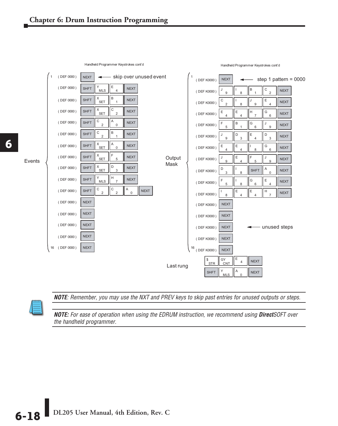

Handheld Programmer Keystrokes cont'd

Handheld Programmer Keystrokes cont'd



*NOTE: Remember, you may use the NXT and PREV keys to skip past entries for unused outputs or steps.* to skip past entries for unused outputs or stops.

*NOTE: For ease of operation when using the EDRUM instruction, we recommend using DirectSOFT over the handheld programmer.*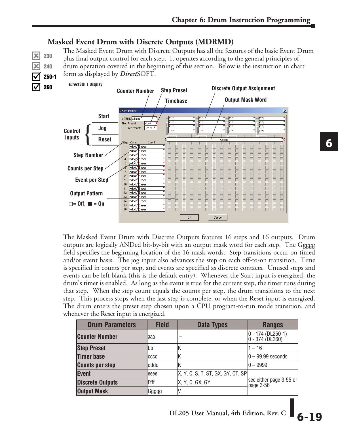## **Masked Event Drum with Discrete Outputs (MDRMD)**

The Masked Event Drum with Discrete Outputs has all the features of the basic Event Drum plus final output control for each step. It operates according to the general principles of drum operation covered in the beginning of this section. Below is the instruction in chart form as displayed by *Direct*SOFT.





The Masked Event Drum with Discrete Outputs features 16 steps and 16 outputs. Drum outputs are logically ANDed bit-by-bit with an output mask word for each step. The Ggggg field specifies the beginning location of the 16 mask words. Step transitions occur on timed and/or event basis. The jog input also advances the step on each off-to-on transition. Time is specified in counts per step, and events are specified as discrete contacts. Unused steps and events can be left blank (this is the default entry). Whenever the Start input is energized, the drum's timer is enabled. As long as the event is true for the current step, the timer runs during that step. When the step count equals the counts per step, the drum transitions to the next step. This process stops when the last step is complete, or when the Reset input is energized. The drum enters the preset step chosen upon a CPU program-to-run mode transition, and whenever the Reset input is energized.

| <b>Drum Parameters</b>  | <b>Field</b> | <b>Data Types</b>                 | <b>Ranges</b>                                                                      |
|-------------------------|--------------|-----------------------------------|------------------------------------------------------------------------------------|
| <b>Counter Number</b>   | aaa          |                                   | 0 - 174 (DL250-1)<br>0 - 374 (DL260)                                               |
| <b>Step Preset</b>      | bb           | ΙK                                | $1 - 16$                                                                           |
| <b>Timer base</b>       | CCCC         | ΙK                                | $ 0 - 99.99$ seconds                                                               |
| <b>Counts per step</b>  | dddd         | ΙK                                | $ 0 - 9999$                                                                        |
| <b>Event</b>            | eeee         | X, Y, C, S, T, ST, GX, GY, CT, SP |                                                                                    |
| <b>Discrete Outputs</b> | Ffff         | X, Y, C, GX, GY                   | $\begin{vmatrix} \text{see either page 3-55 or} \\ \text{page 3-56} \end{vmatrix}$ |
| <b>Output Mask</b>      | Ggggg        |                                   |                                                                                    |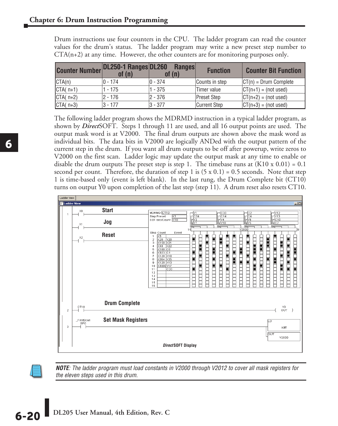| <b>Counter Number DL250-1 Ranges DL260</b> | of $(n)$    | <b>Ranges</b><br>of (n) | <b>Function</b>     | <b>Counter Bit Function</b> |
|--------------------------------------------|-------------|-------------------------|---------------------|-----------------------------|
| CTA(n)                                     | 10 - 174    | $ 0 - 374 $             | Counts in step      | $ CT(n)  = Drum Compute$    |
| $CTA(n+1)$                                 | 1 - 175     | $1 - 375$               | Timer value         | $ CT(n+1) = (not used)$     |
| $CTA(n+2)$                                 | $ 2 - 176 $ | $ 2 - 376$              | <b>Preset Step</b>  | $ CT(n+2)  = (not used)$    |
| $CTA(n+3)$                                 | $3 - 177$   | $ 3 - 377$              | <b>Current Step</b> | $ CT(n+3)  = (not used)$    |

Drum instructions use four counters in the CPU. The ladder program can read the counter values for the drum's status. The ladder program may write a new preset step number to CTA(n+2) at any time. However, the other counters are for monitoring purposes only.

The following ladder program shows the MDRMD instruction in a typical ladder program, as shown by *Direct*SOFT. Steps 1 through 11 are used, and all 16 output points are used. The output mask word is at V2000. The final drum outputs are shown above the mask word as individual bits. The data bits in V2000 are logically ANDed with the output pattern of the current step in the drum. If you want all drum outputs to be off after powerup, write zeros to V2000 on the first scan. Ladder logic may update the output mask at any time to enable or disable the drum outputs The preset step is step 1. The timebase runs at  $(K10 \times 0.01) = 0.1$ second per count. Therefore, the duration of step 1 is  $(5 \times 0.1) = 0.5$  seconds. Note that step 1 is time-based only (event is left blank). In the last rung, the Drum Complete bit (CT10) turns on output Y0 upon completion of the last step (step 11). A drum reset also resets CT10.





*NOTE: The ladder program must load constants in V2000 through V2012 to cover all mask registers for the eleven steps used in this drum.*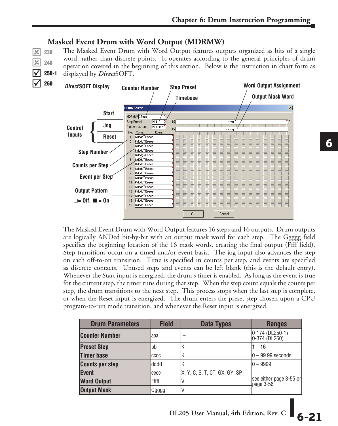## **Masked Event Drum with Word Output (MDRMW)**

 $\overline{\mathbf{x}}$ x  $\overline{\overline{\mathsf{M}}}$  $\overline{\text{N}}$ 

260

The Masked Event Drum with Word Output features outputs organized as bits of a single word, rather than discrete points. It operates according to the general principles of drum operation covered in the beginning of this section. Below is the instruction in chart form as displayed by *Direct*SOFT. 230 240 250-1



The Masked Event Drum with Word Output features 16 steps and 16 outputs. Drum outputs are logically ANDed bit-by-bit with an output mask word for each step. The Ggggg field specifies the beginning location of the 16 mask words, creating the final output (Ffff field). Step transitions occur on a timed and/or event basis. The jog input also advances the step on each off-to-on transition. Time is specified in counts per step, and events are specified as discrete contacts. Unused steps and events can be left blank (this is the default entry). Whenever the Start input is energized, the drum's timer is enabled. As long as the event is true for the current step, the timer runs during that step. When the step count equals the counts per step, the drum transitions to the next step. This process stops when the last step is complete, or when the Reset input is energized. The drum enters the preset step chosen upon a CPU program-to-run mode transition, and whenever the Reset input is energized.

| <b>Drum Parameters</b> | <b>Field</b> | <b>Data Types</b>             | <b>Ranges</b>                        |  |
|------------------------|--------------|-------------------------------|--------------------------------------|--|
| <b>Counter Number</b>  | laaa         |                               | 0-174 (DL250-1)<br>0-374 (DL260)     |  |
| <b>Preset Step</b>     | bb           |                               | 1 – 16                               |  |
| <b>Timer base</b>      | CCCC         |                               | $ 0 - 99.99$ seconds                 |  |
| <b>Counts per step</b> | ldddd        | N                             | $ 0 - 9999 $                         |  |
| Event                  | eeee         | X, Y, C, S, T, CT, GX, GY, SP | see either page 3-55 or<br>page 3-56 |  |
| <b>Word Output</b>     | Fffff        |                               |                                      |  |
| <b>Output Mask</b>     | Ggggg        |                               |                                      |  |